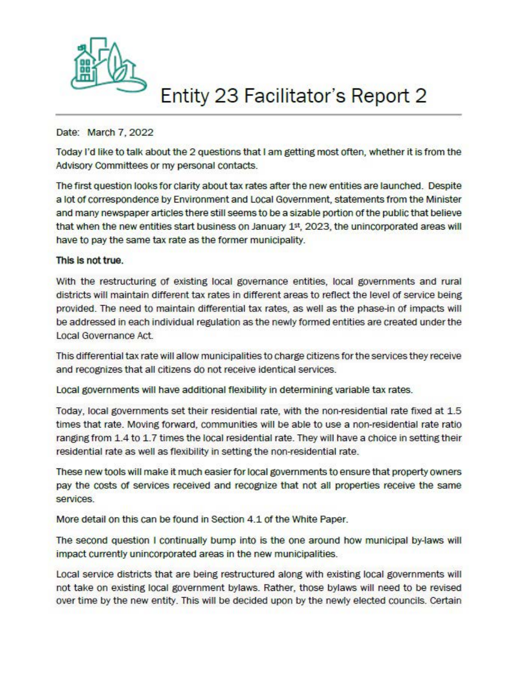

## **Entity 23 Facilitator's Report 2**

## Date: March 7, 2022

Today I'd like to talk about the 2 questions that I am getting most often, whether it is from the Advisory committees or my personal contacts.

The first question looks for clarity about tax rates after the new entities are launched. Despite a lot of correspondence by Environment and Local Government, statements from the Minister and many newspaper articles there still seems to be a sizable portion of the public that believe that when the new entities start business on January 1st, 2023, the unincorporated areas will have to pay the same tax rate as the former municipality.

## This is not true.

With the restructuring of existing local governance entities, local governments and rural districts will maintain different tax rates in different areas to reflect the level of service being provided. The need to maintain differential tax rates, as well as the phase-in of impacts will be addressed in each individual regulation as the newly formed entities are created under the Local Governance Act.

This differential tax rate will allow municipalities to charge citizens *tor* the services they receive and recognizes that all citizens do not receive identical services.

Local governments will have additional flexibility in determining variable tax rates.

Today, local governments set their residential rate, with the non-residential rate fixed at 1.5 times that rate. Moving forward, communities will be able to use a non-residential rate ratio ranging from 1.4 to 1.7 times the local residential rate. They will have a choice in setting their residential rate as well as flexibility in setting the non-residential rate.

These new tools will make it much easier *tor* local governments to ensure that property owners pay the costs of services received and recognize that not all properties receive the same services.

More detail on this can be found in Section 4.1 of the White Paper.

The second question I continually bump into is the one around how municipal by-laws will impact currently unincorp0rated areas in the new municipalities.

Local service districts that are being restructured along with existing local governments will not take on existing local government bylaws. Rather, those bylaws will need to be revised over time by the new entity. This will be decided upon by the newly elected councils. Certain